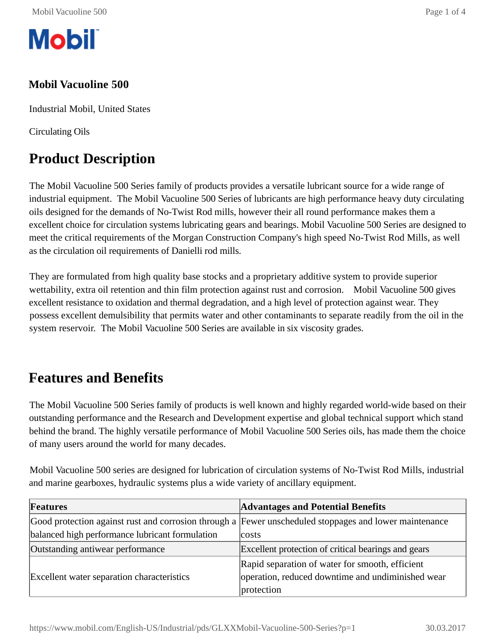

#### **Mobil Vacuoline 500**

Industrial Mobil, United States

Circulating Oils

# **Product Description**

The Mobil Vacuoline 500 Series family of products provides a versatile lubricant source for a wide range of industrial equipment. The Mobil Vacuoline 500 Series of lubricants are high performance heavy duty circulating oils designed for the demands of No-Twist Rod mills, however their all round performance makes them a excellent choice for circulation systems lubricating gears and bearings. Mobil Vacuoline 500 Series are designed to meet the critical requirements of the Morgan Construction Company's high speed No-Twist Rod Mills, as well as the circulation oil requirements of Danielli rod mills.

They are formulated from high quality base stocks and a proprietary additive system to provide superior wettability, extra oil retention and thin film protection against rust and corrosion. Mobil Vacuoline 500 gives excellent resistance to oxidation and thermal degradation, and a high level of protection against wear. They possess excellent demulsibility that permits water and other contaminants to separate readily from the oil in the system reservoir. The Mobil Vacuoline 500 Series are available in six viscosity grades.

#### **Features and Benefits**

The Mobil Vacuoline 500 Series family of products is well known and highly regarded world-wide based on their outstanding performance and the Research and Development expertise and global technical support which stand behind the brand. The highly versatile performance of Mobil Vacuoline 500 Series oils, has made them the choice of many users around the world for many decades.

Mobil Vacuoline 500 series are designed for lubrication of circulation systems of No-Twist Rod Mills, industrial and marine gearboxes, hydraulic systems plus a wide variety of ancillary equipment.

| Features                                                                                               | <b>Advantages and Potential Benefits</b>            |  |  |  |  |
|--------------------------------------------------------------------------------------------------------|-----------------------------------------------------|--|--|--|--|
| Good protection against rust and corrosion through a Fewer unscheduled stoppages and lower maintenance |                                                     |  |  |  |  |
| balanced high performance lubricant formulation                                                        | costs                                               |  |  |  |  |
| Outstanding antiwear performance                                                                       | Excellent protection of critical bearings and gears |  |  |  |  |
|                                                                                                        | Rapid separation of water for smooth, efficient     |  |  |  |  |
| Excellent water separation characteristics                                                             | operation, reduced downtime and undiminished wear   |  |  |  |  |
|                                                                                                        | protection                                          |  |  |  |  |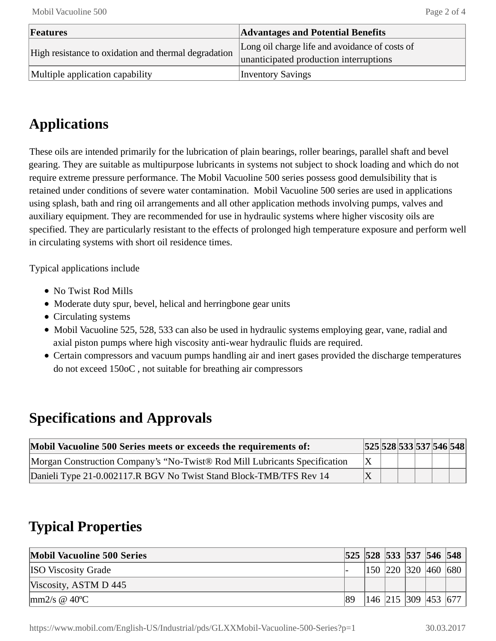| Features                                             | <b>Advantages and Potential Benefits</b>       |  |  |  |
|------------------------------------------------------|------------------------------------------------|--|--|--|
| High resistance to oxidation and thermal degradation | Long oil charge life and avoidance of costs of |  |  |  |
|                                                      | unanticipated production interruptions         |  |  |  |
| Multiple application capability                      | <b>Inventory Savings</b>                       |  |  |  |

# **Applications**

These oils are intended primarily for the lubrication of plain bearings, roller bearings, parallel shaft and bevel gearing. They are suitable as multipurpose lubricants in systems not subject to shock loading and which do not require extreme pressure performance. The Mobil Vacuoline 500 series possess good demulsibility that is retained under conditions of severe water contamination. Mobil Vacuoline 500 series are used in applications using splash, bath and ring oil arrangements and all other application methods involving pumps, valves and auxiliary equipment. They are recommended for use in hydraulic systems where higher viscosity oils are specified. They are particularly resistant to the effects of prolonged high temperature exposure and perform well in circulating systems with short oil residence times.

Typical applications include

- No Twist Rod Mills
- Moderate duty spur, bevel, helical and herringbone gear units
- Circulating systems
- Mobil Vacuoline 525, 528, 533 can also be used in hydraulic systems employing gear, vane, radial and axial piston pumps where high viscosity anti-wear hydraulic fluids are required.
- Certain compressors and vacuum pumps handling air and inert gases provided the discharge temperatures do not exceed 150oC , not suitable for breathing air compressors

## **Specifications and Approvals**

| Mobil Vacuoline 500 Series meets or exceeds the requirements of:           |  |  | 525 528 533 537 546 548 |  |
|----------------------------------------------------------------------------|--|--|-------------------------|--|
| Morgan Construction Company's "No-Twist® Rod Mill Lubricants Specification |  |  |                         |  |
| Danieli Type 21-0.002117.R BGV No Twist Stand Block-TMB/TFS Rev 14         |  |  |                         |  |

## **Typical Properties**

| <b>Mobil Vacuoline 500 Series</b>         |    |  |  | 525   528   533   537   546   548 |
|-------------------------------------------|----|--|--|-----------------------------------|
| <b>ISO</b> Viscosity Grade                |    |  |  | 150  220  320  460  680           |
| Viscosity, ASTM D 445                     |    |  |  |                                   |
| $\text{mm2/s} \otimes 40^{\circ}\text{C}$ | 89 |  |  | 146  215  309  453  677           |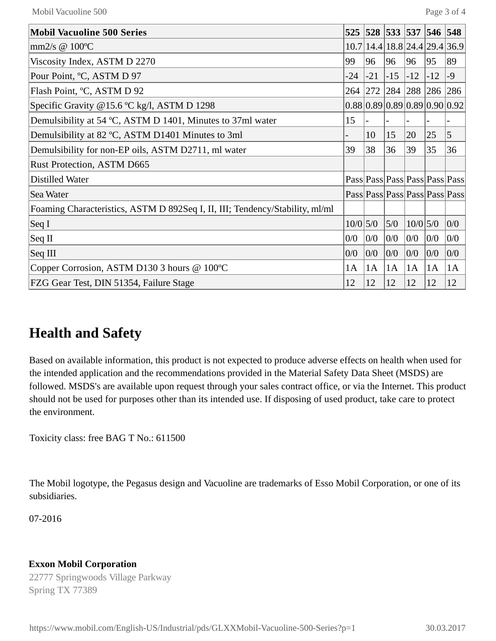| <b>Mobil Vacuoline 500 Series</b>                                            | 525        |       | 528 533 537         |            | 546   | 548                           |
|------------------------------------------------------------------------------|------------|-------|---------------------|------------|-------|-------------------------------|
| mm $2/s \otimes 100^{\circ}C$                                                |            |       |                     |            |       | 10.7 14.4 18.8 24.4 29.4 36.9 |
| Viscosity Index, ASTM D 2270                                                 | 99         | 96    | 96                  | 96         | 95    | 89                            |
| Pour Point, °C, ASTM D 97                                                    | $-24$      | $-21$ | $-15$               | $-12$      | $-12$ | $-9$                          |
| Flash Point, °C, ASTM D 92                                                   |            |       | 264 272 284 288 286 |            |       | 286                           |
| Specific Gravity @15.6 °C kg/l, ASTM D 1298                                  |            |       |                     |            |       | 0.88 0.89 0.89 0.89 0.90 0.92 |
| Demulsibility at 54 °C, ASTM D 1401, Minutes to 37ml water                   | 15         |       |                     |            |       |                               |
| Demulsibility at 82 °C, ASTM D1401 Minutes to 3ml                            |            | 10    | 15                  | 20         | 25    | $\overline{5}$                |
| Demulsibility for non-EP oils, ASTM D2711, ml water                          | 39         | 38    | 36                  | 39         | 35    | 36                            |
| Rust Protection, ASTM D665                                                   |            |       |                     |            |       |                               |
| Distilled Water                                                              |            |       |                     |            |       | Pass Pass Pass Pass Pass Pass |
| Sea Water                                                                    |            |       |                     |            |       | Pass Pass Pass Pass Pass Pass |
| Foaming Characteristics, ASTM D 892Seq I, II, III; Tendency/Stability, ml/ml |            |       |                     |            |       |                               |
| $\operatorname{Seq} I$                                                       | $10/0$ 5/0 |       | 5/0                 | $10/0$ 5/0 |       | 0/0                           |
| $\operatorname{Seq} \Pi$                                                     | 0/0        | 0/0   | 0/0                 | 0/0        | 0/0   | 0/0                           |
| Seq III                                                                      | 0/0        | 0/0   | 0/0                 | 0/0        | 0/0   | 0/0                           |
| Copper Corrosion, ASTM D130 3 hours @ 100°C                                  | 1A         | 1A    | 1A                  | 1A         | 1A    | 1A                            |
| FZG Gear Test, DIN 51354, Failure Stage                                      | 12         | 12    | 12                  | 12         | 12    | 12                            |

#### **Health and Safety**

Based on available information, this product is not expected to produce adverse effects on health when used for the intended application and the recommendations provided in the Material Safety Data Sheet (MSDS) are followed. MSDS's are available upon request through your sales contract office, or via the Internet. This product should not be used for purposes other than its intended use. If disposing of used product, take care to protect the environment.

Toxicity class: free BAG T No.: 611500

The Mobil logotype, the Pegasus design and Vacuoline are trademarks of Esso Mobil Corporation, or one of its subsidiaries.

07-2016

#### **Exxon Mobil Corporation**

22777 Springwoods Village Parkway Spring TX 77389